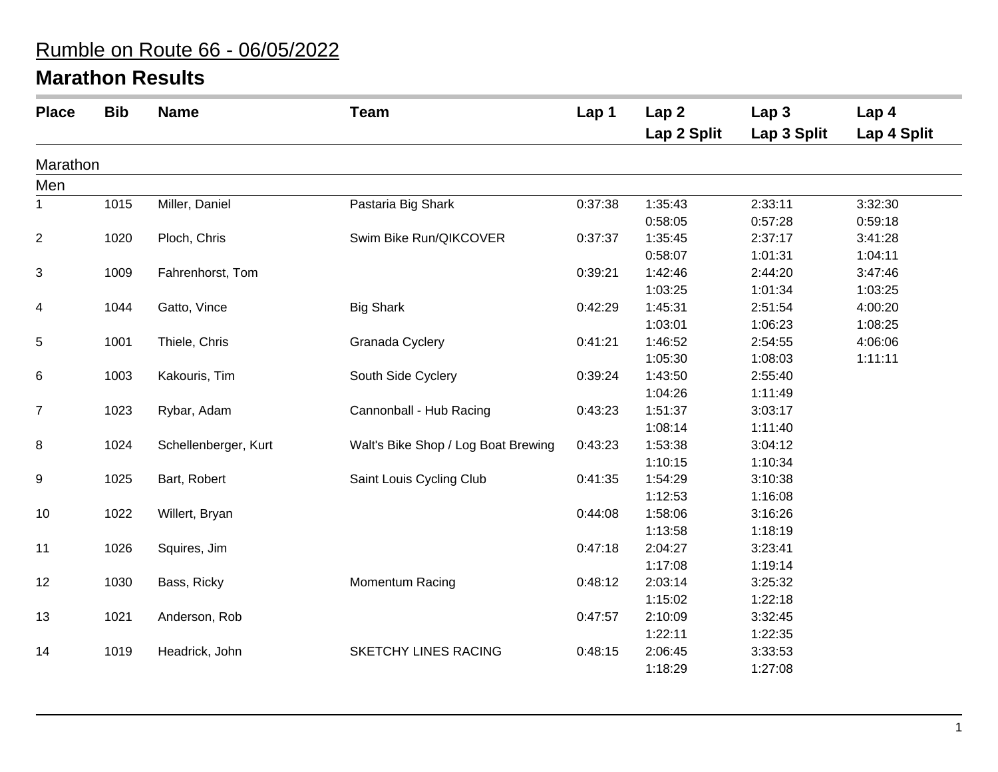## Rumble on Route 66 - 06/05/2022

## **Marathon Results**

| <b>Place</b>   | <b>Bib</b> | <b>Name</b>          | <b>Team</b>                         | Lap <sub>1</sub> | Lap <sub>2</sub><br>Lap 2 Split | Lap <sub>3</sub><br>Lap 3 Split | Lap 4<br>Lap 4 Split |
|----------------|------------|----------------------|-------------------------------------|------------------|---------------------------------|---------------------------------|----------------------|
| Marathon       |            |                      |                                     |                  |                                 |                                 |                      |
| Men            |            |                      |                                     |                  |                                 |                                 |                      |
| 1              | 1015       | Miller, Daniel       | Pastaria Big Shark                  | 0:37:38          | 1:35:43                         | 2:33:11                         | 3:32:30              |
|                |            |                      |                                     |                  | 0:58:05                         | 0:57:28                         | 0:59:18              |
| $\overline{c}$ | 1020       | Ploch, Chris         | Swim Bike Run/QIKCOVER              | 0:37:37          | 1:35:45                         | 2:37:17                         | 3:41:28              |
|                |            |                      |                                     |                  | 0:58:07                         | 1:01:31                         | 1:04:11              |
| 3              | 1009       | Fahrenhorst, Tom     |                                     | 0:39:21          | 1:42:46                         | 2:44:20                         | 3:47:46              |
|                |            |                      |                                     |                  | 1:03:25                         | 1:01:34                         | 1:03:25              |
| 4              | 1044       | Gatto, Vince         | <b>Big Shark</b>                    | 0:42:29          | 1:45:31                         | 2:51:54                         | 4:00:20              |
|                |            |                      |                                     |                  | 1:03:01                         | 1:06:23                         | 1:08:25              |
| 5              | 1001       | Thiele, Chris        | Granada Cyclery                     | 0:41:21          | 1:46:52                         | 2:54:55                         | 4:06:06              |
|                |            |                      |                                     |                  | 1:05:30                         | 1:08:03                         | 1:11:11              |
| 6              | 1003       | Kakouris, Tim        | South Side Cyclery                  | 0:39:24          | 1:43:50                         | 2:55:40                         |                      |
|                |            |                      |                                     |                  | 1:04:26                         | 1:11:49                         |                      |
| $\overline{7}$ | 1023       | Rybar, Adam          | Cannonball - Hub Racing             | 0:43:23          | 1:51:37                         | 3:03:17                         |                      |
|                |            |                      |                                     |                  | 1:08:14                         | 1:11:40                         |                      |
| 8              | 1024       | Schellenberger, Kurt | Walt's Bike Shop / Log Boat Brewing | 0:43:23          | 1:53:38                         | 3:04:12                         |                      |
|                |            |                      |                                     |                  | 1:10:15                         | 1:10:34                         |                      |
| 9              | 1025       | Bart, Robert         | Saint Louis Cycling Club            | 0:41:35          | 1:54:29                         | 3:10:38                         |                      |
|                |            |                      |                                     |                  | 1:12:53                         | 1:16:08                         |                      |
| 10             | 1022       | Willert, Bryan       |                                     | 0:44:08          | 1:58:06                         | 3:16:26                         |                      |
|                |            |                      |                                     |                  | 1:13:58                         | 1:18:19                         |                      |
| 11             | 1026       | Squires, Jim         |                                     | 0:47:18          | 2:04:27                         | 3:23:41                         |                      |
|                |            |                      |                                     |                  | 1:17:08                         | 1:19:14                         |                      |
| 12             | 1030       | Bass, Ricky          | Momentum Racing                     | 0:48:12          | 2:03:14                         | 3:25:32                         |                      |
|                |            |                      |                                     |                  | 1:15:02                         | 1:22:18                         |                      |
| 13             | 1021       | Anderson, Rob        |                                     | 0:47:57          | 2:10:09                         | 3:32:45                         |                      |
|                |            |                      |                                     |                  | 1:22:11                         | 1:22:35                         |                      |
| 14             | 1019       | Headrick, John       | SKETCHY LINES RACING                | 0:48:15          | 2:06:45                         | 3:33:53                         |                      |
|                |            |                      |                                     |                  | 1:18:29                         | 1:27:08                         |                      |